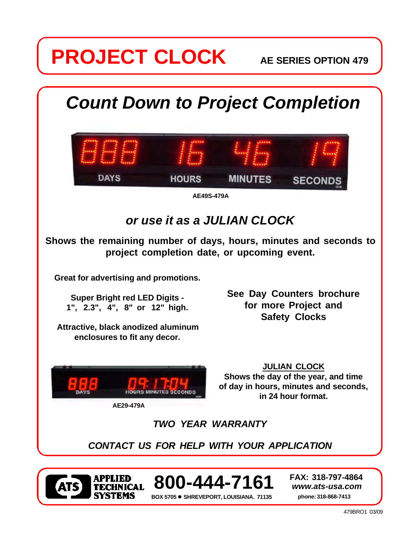## **PROJECT CLOCK AE SERIES OPTION 479**